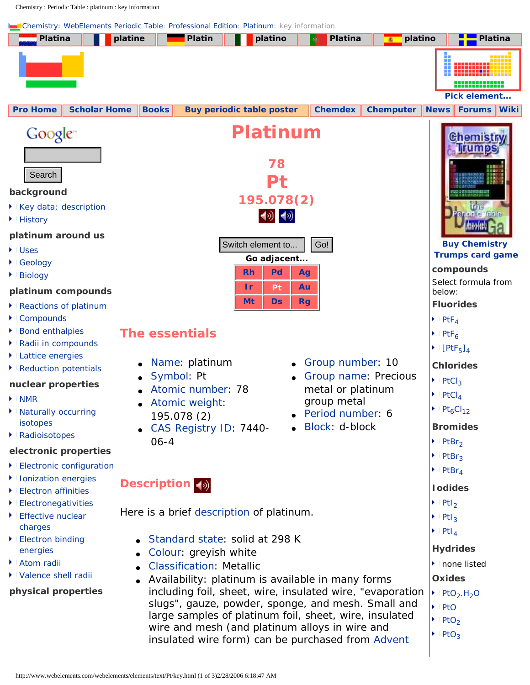Chemistry : Periodic Table : platinum : key information

<span id="page-0-0"></span>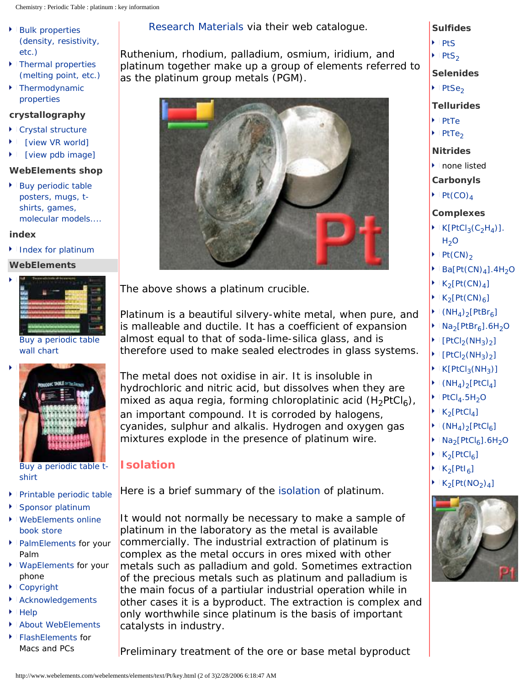- [Bulk properties](http://www.webelements.com/webelements/elements/text/Pt/phys.html)  [\(density, resistivity,](http://www.webelements.com/webelements/elements/text/Pt/phys.html) [etc.\)](http://www.webelements.com/webelements/elements/text/Pt/phys.html)
- Thermal properties [\(melting point, etc.\)](http://www.webelements.com/webelements/elements/text/Pt/heat.html)
- [Thermodynamic](http://www.webelements.com/webelements/elements/text/Pt/thdyn.html) [properties](http://www.webelements.com/webelements/elements/text/Pt/thdyn.html)

## **crystallography**

- [Crystal structure](http://www.webelements.com/webelements/elements/text/Pt/xtal.html)
- [\[view VR world\]](http://www.webelements.com/webelements/elements/text/Pt/xtal-vr.html)
- [\[view pdb image\]](http://www.webelements.com/webelements/elements/text/Pt/xtal-pdb.html)

## **WebElements shop**

[Buy periodic table](http://shop.webelements.info/) [posters, mugs, t](http://shop.webelements.info/)[shirts, games,](http://shop.webelements.info/)  [molecular models....](http://shop.webelements.info/)

#### **index**

[Index for platinum](http://www.webelements.com/webelements/elements/text/Pt/index.html)

### **WebElements**



[Buy a periodic table](http://www.webelements-shop.com/product.php/2/1/)  [wall chart](http://www.webelements-shop.com/product.php/2/1/)



[Buy a periodic table t](http://www.webelements-shop.com/product.php/46/0/)[shirt](http://www.webelements-shop.com/product.php/46/0/)

- [Printable periodic table](http://forums.webelements.info/viewforum.php?f=6)
- [Sponsor platinum](http://www.webelements.com/webelements/support/text/admin/sponsor.html)
- **WebElements online** [book store](http://books.webelements.info/)
- [PalmElements](http://forums.webelements.info/viewforum.php?f=6) for your Palm
- **[WapElements](http://www.webelements.com/wapelements/index.html) for your** phone
- [Copyright](http://www.webelements.com/webelements/support/text/admin/copyright.html)
- [Acknowledgements](http://www.webelements.com/webelements/support/text/admin/acknowledgements.html)
- **[Help](http://www.webelements.com/webelements/support/text/help/help.html)**
- [About WebElements](http://www.webelements.com/webelements/support/text/admin/about.html)
- ▶ [FlashElements](http://forums.webelements.info/viewforum.php?f=6) for Macs and PCs

## [Research Materials](http://www.advent-rm.com/) via their web catalogue.

Ruthenium, rhodium, palladium, osmium, iridium, and platinum together make up a group of elements referred to as the platinum group metals (PGM).

**Sulfides**  $P$ tS  $PtS<sub>2</sub>$ 

**Selenides**

**Tellurides**

 $PtSe<sub>2</sub>$ 

 $\cdot$  [PtTe](http://www.webelements.com/webelements/compounds/text/Pt/Pt1Te1-12166006.html)  $\cdot$  PtTe<sub>2</sub>

**Nitrides** ▶ none listed **Carbonyls**  $\blacktriangleright$  Pt(CO)<sub>4</sub>

**Complexes**

 $H<sub>2</sub>O$  $\blacktriangleright$  Pt(CN)<sub>2</sub>

 $\blacktriangleright$  K[PtCl<sub>3</sub>(C<sub>2</sub>H<sub>4</sub>)].

 $\blacktriangleright$  Ba[Pt(CN)<sub>4</sub>].4H<sub>2</sub>O

 $\blacktriangleright$  K<sub>2</sub>[Pt(CN)<sub>4</sub>]  $K_2[Pt(CN)_6]$  $\blacktriangleright$  (NH<sub>4</sub>)<sub>2</sub>[PtBr<sub>6</sub>]  $\blacktriangleright$  Na<sub>2</sub>[PtBr<sub>6</sub>].6H<sub>2</sub>O  $[PtCl<sub>2</sub>(NH<sub>3</sub>)<sub>2</sub>]$  $\blacktriangleright$  [PtCl<sub>2</sub>(NH<sub>3</sub>)<sub>2</sub>]  $K[PtCl<sub>3</sub>(NH<sub>3</sub>)]$  $(NH_4)_2[PtCl_4]$  $\blacktriangleright$  PtCl<sub>4</sub>.5H<sub>2</sub>O  $K_2[PtCl_4]$  $(NH_4)$ <sub>2</sub>[PtCl<sub>6</sub>]  $\bigcup$  Na<sub>2</sub>[PtCl<sub>6</sub>].6H<sub>2</sub>O

 $K_2[PtCl_6]$  $K<sub>2</sub>[PtI<sub>6</sub>]$ 

 $K<sub>2</sub>[Pt(NO<sub>2</sub>)<sub>4</sub>]$ 



The above shows a platinum crucible.

Platinum is a beautiful silvery-white metal, when pure, and is malleable and ductile. It has a coefficient of expansion almost equal to that of soda-lime-silica glass, and is therefore used to make sealed electrodes in glass systems.

The metal does not oxidise in air. It is insoluble in hydrochloric and nitric acid, but dissolves when they are mixed as aqua regia, forming chloroplatinic acid  $(H_2PtCl_6)$ , an important compound. It is corroded by halogens, cyanides, sulphur and alkalis. Hydrogen and oxygen gas mixtures explode in the presence of platinum wire.

# **Isolation**

Here is a brief summary of the [isolation](http://www.webelements.com/webelements/properties/text/definitions/isolation.html) of platinum.

It would not normally be necessary to make a sample of platinum in the laboratory as the metal is available commercially. The industrial extraction of platinum is complex as the metal occurs in ores mixed with other metals such as palladium and gold. Sometimes extraction of the precious metals such as platinum and palladium is the main focus of a partiular industrial operation while in other cases it is a byproduct. The extraction is complex and only worthwhile since platinum is the basis of important catalysts in industry.

Preliminary treatment of the ore or base metal byproduct